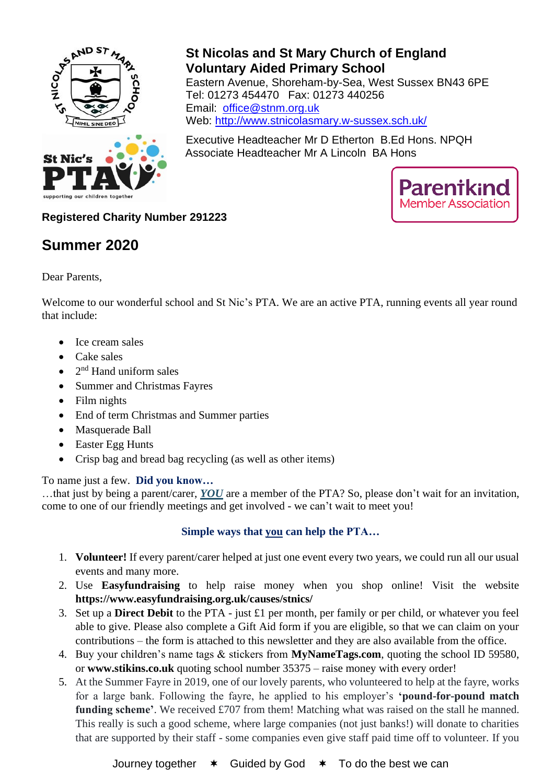

## **St Nicolas and St Mary Church of England Voluntary Aided Primary School** Eastern Avenue, Shoreham-by-Sea, West Sussex BN43 6PE Tel: 01273 454470 Fax: 01273 440256 Email: office@stnm.org.uk Web: <http://www.stnicolasmary.w-sussex.sch.uk/>

Executive Headteacher Mr D Etherton B.Ed Hons. NPQH Associate Headteacher Mr A Lincoln BA Hons



**Registered Charity Number 291223**

# **Summer 2020**

Dear Parents,

Welcome to our wonderful school and St Nic's PTA. We are an active PTA, running events all year round that include:

- Ice cream sales
- Cake sales
- $\bullet$  2<sup>nd</sup> Hand uniform sales
- Summer and Christmas Fayres
- Film nights
- End of term Christmas and Summer parties
- Masquerade Ball
- Easter Egg Hunts
- Crisp bag and bread bag recycling (as well as other items)

To name just a few. **Did you know…**

…that just by being a parent/carer, *YOU* are a member of the PTA? So, please don't wait for an invitation, come to one of our friendly meetings and get involved - we can't wait to meet you!

#### **Simple ways that you can help the PTA…**

- 1. **Volunteer!** If every parent/carer helped at just one event every two years, we could run all our usual events and many more.
- 2. Use **Easyfundraising** to help raise money when you shop online! Visit the website **https://www.easyfundraising.org.uk/causes/stnics/**
- 3. Set up a **Direct Debit** to the PTA just £1 per month, per family or per child, or whatever you feel able to give. Please also complete a Gift Aid form if you are eligible, so that we can claim on your contributions – the form is attached to this newsletter and they are also available from the office.
- 4. Buy your children's name tags & stickers from **MyNameTags.com**, quoting the school ID 59580, or **www.stikins.co.uk** quoting school number 35375 – raise money with every order!
- 5. At the Summer Fayre in 2019, one of our lovely parents, who volunteered to help at the fayre, works for a large bank. Following the fayre, he applied to his employer's **'pound-for-pound match funding scheme'**. We received £707 from them! Matching what was raised on the stall he manned. This really is such a good scheme, where large companies (not just banks!) will donate to charities that are supported by their staff - some companies even give staff paid time off to volunteer. If you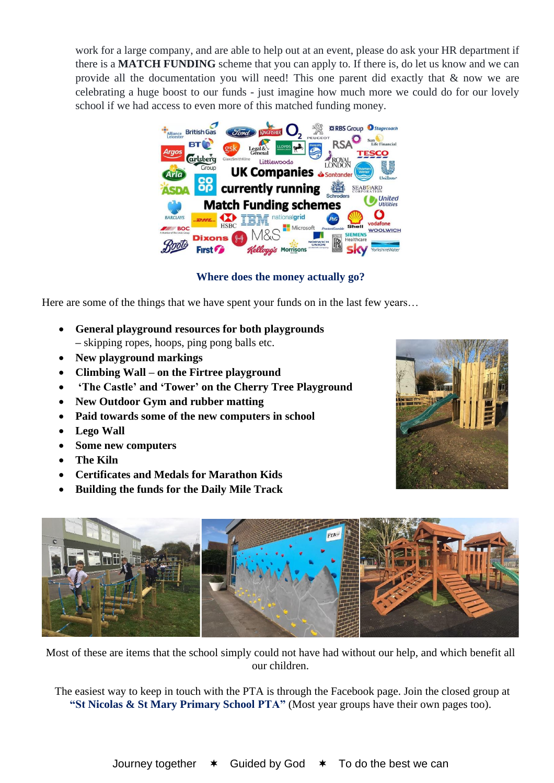work for a large company, and are able to help out at an event, please do ask your HR department if there is a **MATCH FUNDING** scheme that you can apply to. If there is, do let us know and we can provide all the documentation you will need! This one parent did exactly that & now we are celebrating a huge boost to our funds - just imagine how much more we could do for our lovely school if we had access to even more of this matched funding money.



**Where does the money actually go?**

Here are some of the things that we have spent your funds on in the last few years...

- **General playground resources for both playgrounds –** skipping ropes, hoops, ping pong balls etc.
- **New playground markings**
- **Climbing Wall – on the Firtree playground**
- **'The Castle' and 'Tower' on the Cherry Tree Playground**
- **New Outdoor Gym and rubber matting**
- **Paid towards some of the new computers in school**
- **Lego Wall**
- **Some new computers**
- **The Kiln**
- **Certificates and Medals for Marathon Kids**
- **Building the funds for the Daily Mile Track**





Most of these are items that the school simply could not have had without our help, and which benefit all our children.

The easiest way to keep in touch with the PTA is through the Facebook page. Join the closed group at **"St Nicolas & St Mary Primary School PTA"** (Most year groups have their own pages too).